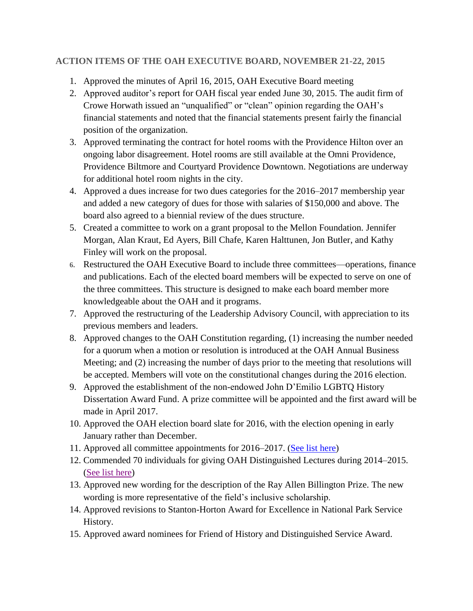## **ACTION ITEMS OF THE OAH EXECUTIVE BOARD, NOVEMBER 21-22, 2015**

- 1. Approved the minutes of April 16, 2015, OAH Executive Board meeting
- 2. Approved auditor's report for OAH fiscal year ended June 30, 2015. The audit firm of Crowe Horwath issued an "unqualified" or "clean" opinion regarding the OAH's financial statements and noted that the financial statements present fairly the financial position of the organization.
- 3. Approved terminating the contract for hotel rooms with the Providence Hilton over an ongoing labor disagreement. Hotel rooms are still available at the Omni Providence, Providence Biltmore and Courtyard Providence Downtown. Negotiations are underway for additional hotel room nights in the city.
- 4. Approved a dues increase for two dues categories for the 2016–2017 membership year and added a new category of dues for those with salaries of \$150,000 and above. The board also agreed to a biennial review of the dues structure.
- 5. Created a committee to work on a grant proposal to the Mellon Foundation. Jennifer Morgan, Alan Kraut, Ed Ayers, Bill Chafe, Karen Halttunen, Jon Butler, and Kathy Finley will work on the proposal.
- **6.** Restructured the OAH Executive Board to include three committees—operations, finance and publications. Each of the elected board members will be expected to serve on one of the three committees. This structure is designed to make each board member more knowledgeable about the OAH and it programs.
- 7. Approved the restructuring of the Leadership Advisory Council, with appreciation to its previous members and leaders.
- 8. Approved changes to the OAH Constitution regarding, (1) increasing the number needed for a quorum when a motion or resolution is introduced at the OAH Annual Business Meeting; and (2) increasing the number of days prior to the meeting that resolutions will be accepted. Members will vote on the constitutional changes during the 2016 election.
- 9. Approved the establishment of the non-endowed John D'Emilio LGBTQ History Dissertation Award Fund. A prize committee will be appointed and the first award will be made in April 2017.
- 10. Approved the OAH election board slate for 2016, with the election opening in early January rather than December.
- 11. Approved all committee appointments for 2016–2017. [\(See list here\)](http://www.oah.org/site/assets/files/6856/2__cmte_nominee_list.pdf)
- 12. Commended 70 individuals for giving OAH Distinguished Lectures during 2014–2015. [\(See list here\)](http://www.oah.org/site/assets/files/6852/3__lectureship-fall15-commendations.pdf)
- 13. Approved new wording for the description of the Ray Allen Billington Prize. The new wording is more representative of the field's inclusive scholarship.
- 14. Approved revisions to Stanton-Horton Award for Excellence in National Park Service History.
- 15. Approved award nominees for Friend of History and Distinguished Service Award.